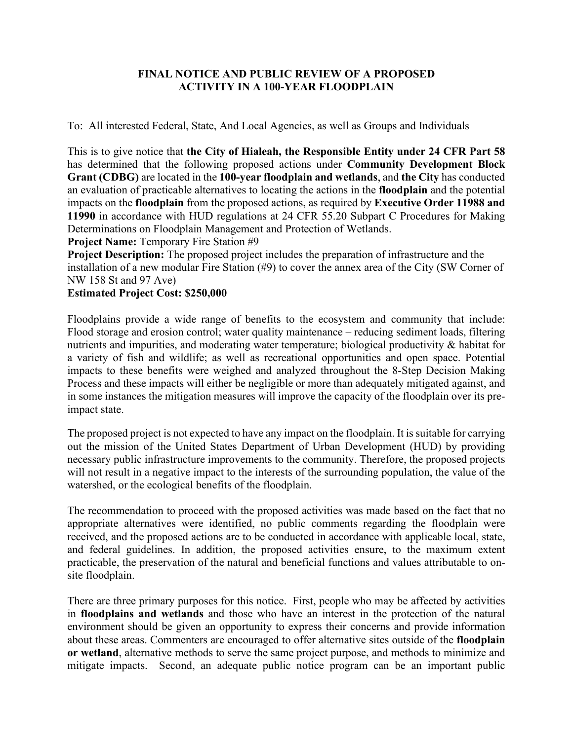## **FINAL NOTICE AND PUBLIC REVIEW OF A PROPOSED ACTIVITY IN A 100-YEAR FLOODPLAIN**

To: All interested Federal, State, And Local Agencies, as well as Groups and Individuals

This is to give notice that **the City of Hialeah, the Responsible Entity under 24 CFR Part 58** has determined that the following proposed actions under **Community Development Block Grant (CDBG)** are located in the **100-year floodplain and wetlands**, and **the City** has conducted an evaluation of practicable alternatives to locating the actions in the **floodplain** and the potential impacts on the **floodplain** from the proposed actions, as required by **Executive Order 11988 and 11990** in accordance with HUD regulations at 24 CFR 55.20 Subpart C Procedures for Making Determinations on Floodplain Management and Protection of Wetlands.

**Project Name:** Temporary Fire Station #9

**Project Description:** The proposed project includes the preparation of infrastructure and the installation of a new modular Fire Station (#9) to cover the annex area of the City (SW Corner of NW 158 St and 97 Ave)

## **Estimated Project Cost: \$250,000**

Floodplains provide a wide range of benefits to the ecosystem and community that include: Flood storage and erosion control; water quality maintenance – reducing sediment loads, filtering nutrients and impurities, and moderating water temperature; biological productivity & habitat for a variety of fish and wildlife; as well as recreational opportunities and open space. Potential impacts to these benefits were weighed and analyzed throughout the 8-Step Decision Making Process and these impacts will either be negligible or more than adequately mitigated against, and in some instances the mitigation measures will improve the capacity of the floodplain over its preimpact state.

The proposed project is not expected to have any impact on the floodplain. It is suitable for carrying out the mission of the United States Department of Urban Development (HUD) by providing necessary public infrastructure improvements to the community. Therefore, the proposed projects will not result in a negative impact to the interests of the surrounding population, the value of the watershed, or the ecological benefits of the floodplain.

The recommendation to proceed with the proposed activities was made based on the fact that no appropriate alternatives were identified, no public comments regarding the floodplain were received, and the proposed actions are to be conducted in accordance with applicable local, state, and federal guidelines. In addition, the proposed activities ensure, to the maximum extent practicable, the preservation of the natural and beneficial functions and values attributable to onsite floodplain.

There are three primary purposes for this notice. First, people who may be affected by activities in **floodplains and wetlands** and those who have an interest in the protection of the natural environment should be given an opportunity to express their concerns and provide information about these areas. Commenters are encouraged to offer alternative sites outside of the **floodplain or wetland**, alternative methods to serve the same project purpose, and methods to minimize and mitigate impacts. Second, an adequate public notice program can be an important public